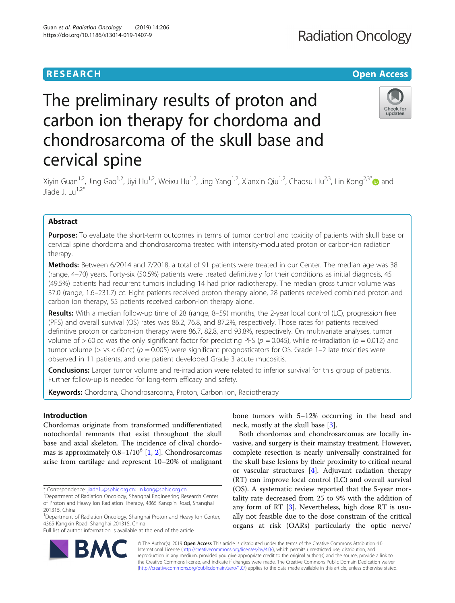## **RESEARCH CHEAR CHEAR CHEAR CHEAR CHEAR CHEAR CHEAR CHEAR CHEAR CHEAR CHEAR CHEAR CHEAR CHEAR CHEAR CHEAR CHEAR**

# The preliminary results of proton and carbon ion therapy for chordoma and chondrosarcoma of the skull base and cervical spine



Xiyin Guan<sup>1,2</sup>, Jing Gao<sup>1,2</sup>, Jiyi Hu<sup>1,2</sup>, Weixu Hu<sup>1,2</sup>, Jing Yang<sup>1,2</sup>, Xianxin Qiu<sup>1,2</sup>, Chaosu Hu<sup>2,3</sup>, Lin Kong<sup>2,3\*</sup> and  $I$ iade  $I \perp U^{1,2^*}$ 

### Abstract

Purpose: To evaluate the short-term outcomes in terms of tumor control and toxicity of patients with skull base or cervical spine chordoma and chondrosarcoma treated with intensity-modulated proton or carbon-ion radiation therapy.

Methods: Between 6/2014 and 7/2018, a total of 91 patients were treated in our Center. The median age was 38 (range, 4–70) years. Forty-six (50.5%) patients were treated definitively for their conditions as initial diagnosis, 45 (49.5%) patients had recurrent tumors including 14 had prior radiotherapy. The median gross tumor volume was 37.0 (range, 1.6–231.7) cc. Eight patients received proton therapy alone, 28 patients received combined proton and carbon ion therapy, 55 patients received carbon-ion therapy alone.

Results: With a median follow-up time of 28 (range, 8–59) months, the 2-year local control (LC), progression free (PFS) and overall survival (OS) rates was 86.2, 76.8, and 87.2%, respectively. Those rates for patients received definitive proton or carbon-ion therapy were 86.7, 82.8, and 93.8%, respectively. On multivariate analyses, tumor volume of  $> 60$  cc was the only significant factor for predicting PFS ( $p = 0.045$ ), while re-irradiation ( $p = 0.012$ ) and tumor volume ( $> vs < 60$  cc) ( $p = 0.005$ ) were significant prognosticators for OS. Grade 1-2 late toxicities were observed in 11 patients, and one patient developed Grade 3 acute mucositis.

Conclusions: Larger tumor volume and re-irradiation were related to inferior survival for this group of patients. Further follow-up is needed for long-term efficacy and safety.

Keywords: Chordoma, Chondrosarcoma, Proton, Carbon ion, Radiotherapy

#### Introduction

Chordomas originate from transformed undifferentiated notochordal remnants that exist throughout the skull base and axial skeleton. The incidence of clival chordomas is approximately  $0.8-1/10^6$  [[1,](#page-8-0) [2\]](#page-8-0). Chondrosarcomas arise from cartilage and represent 10–20% of malignant

Full list of author information is available at the end of the article



Both chordomas and chondrosarcomas are locally invasive, and surgery is their mainstay treatment. However, complete resection is nearly universally constrained for the skull base lesions by their proximity to critical neural or vascular structures [\[4](#page-8-0)]. Adjuvant radiation therapy (RT) can improve local control (LC) and overall survival (OS). A systematic review reported that the 5-year mortality rate decreased from 25 to 9% with the addition of any form of RT [[3\]](#page-8-0). Nevertheless, high dose RT is usually not feasible due to the dose constrain of the critical organs at risk (OARs) particularly the optic nerve/



© The Author(s). 2019 **Open Access** This article is distributed under the terms of the Creative Commons Attribution 4.0 International License [\(http://creativecommons.org/licenses/by/4.0/](http://creativecommons.org/licenses/by/4.0/)), which permits unrestricted use, distribution, and reproduction in any medium, provided you give appropriate credit to the original author(s) and the source, provide a link to the Creative Commons license, and indicate if changes were made. The Creative Commons Public Domain Dedication waiver [\(http://creativecommons.org/publicdomain/zero/1.0/](http://creativecommons.org/publicdomain/zero/1.0/)) applies to the data made available in this article, unless otherwise stated.

<sup>\*</sup> Correspondence: [jiade.lu@sphic.org.cn](mailto:jiade.lu@sphic.org.cn); [lin.kong@sphic.org.cn](mailto:lin.kong@sphic.org.cn) <sup>2</sup>

<sup>&</sup>lt;sup>2</sup>Department of Radiation Oncology, Shanghai Engineering Research Center of Proton and Heavy Ion Radiation Therapy, 4365 Kangxin Road, Shanghai 201315, China

<sup>&</sup>lt;sup>1</sup>Department of Radiation Oncology, Shanghai Proton and Heavy Ion Center, 4365 Kangxin Road, Shanghai 201315, China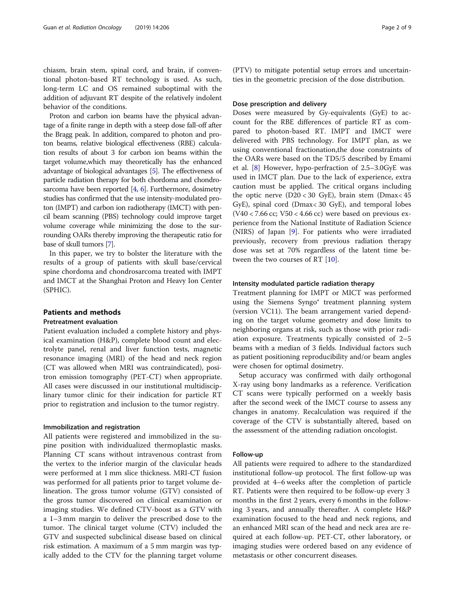chiasm, brain stem, spinal cord, and brain, if conventional photon-based RT technology is used. As such, long-term LC and OS remained suboptimal with the addition of adjuvant RT despite of the relatively indolent behavior of the conditions.

Proton and carbon ion beams have the physical advantage of a finite range in depth with a steep dose fall-off after the Bragg peak. In addition, compared to photon and proton beams, relative biological effectiveness (RBE) calculation results of about 3 for carbon ion beams within the target volume,which may theoretically has the enhanced advantage of biological advantages [\[5\]](#page-8-0). The effectiveness of particle radiation therapy for both chordoma and chondrosarcoma have been reported  $[4, 6]$  $[4, 6]$  $[4, 6]$ . Furthermore, dosimetry studies has confirmed that the use intensity-modulated proton (IMPT) and carbon ion radiotherapy (IMCT) with pencil beam scanning (PBS) technology could improve target volume coverage while minimizing the dose to the surrounding OARs thereby improving the therapeutic ratio for base of skull tumors [\[7\]](#page-8-0).

In this paper, we try to bolster the literature with the results of a group of patients with skull base/cervical spine chordoma and chondrosarcoma treated with IMPT and IMCT at the Shanghai Proton and Heavy Ion Center (SPHIC).

#### Patients and methods

#### Pretreatment evaluation

Patient evaluation included a complete history and physical examination (H&P), complete blood count and electrolyte panel, renal and liver function tests, magnetic resonance imaging (MRI) of the head and neck region (CT was allowed when MRI was contraindicated), positron emission tomography (PET-CT) when appropriate. All cases were discussed in our institutional multidisciplinary tumor clinic for their indication for particle RT prior to registration and inclusion to the tumor registry.

#### Immobilization and registration

All patients were registered and immobilized in the supine position with individualized thermoplastic masks. Planning CT scans without intravenous contrast from the vertex to the inferior margin of the clavicular heads were performed at 1 mm slice thickness. MRI-CT fusion was performed for all patients prior to target volume delineation. The gross tumor volume (GTV) consisted of the gross tumor discovered on clinical examination or imaging studies. We defined CTV-boost as a GTV with a 1–3 mm margin to deliver the prescribed dose to the tumor. The clinical target volume (CTV) included the GTV and suspected subclinical disease based on clinical risk estimation. A maximum of a 5 mm margin was typically added to the CTV for the planning target volume

(PTV) to mitigate potential setup errors and uncertainties in the geometric precision of the dose distribution.

#### Dose prescription and delivery

Doses were measured by Gy-equivalents (GyE) to account for the RBE differences of particle RT as compared to photon-based RT. IMPT and IMCT were delivered with PBS technology. For IMPT plan, as we using conventional fractionation,the dose constraints of the OARs were based on the TD5/5 described by Emami et al. [[8\]](#page-8-0) However, hypo-perfraction of 2.5–3.0GyE was used in IMCT plan. Due to the lack of experience, extra caution must be applied. The critical organs including the optic nerve (D20 < 30 GyE), brain stem (Dmax< 45 GyE), spinal cord (Dmax< 30 GyE), and temporal lobes  $(V40 < 7.66$  cc;  $V50 < 4.66$  cc) were based on previous experience from the National Institute of Radiation Science (NIRS) of Japan [\[9](#page-8-0)]. For patients who were irradiated previously, recovery from previous radiation therapy dose was set at 70% regardless of the latent time be-tween the two courses of RT [[10\]](#page-8-0).

#### Intensity modulated particle radiation therapy

Treatment planning for IMPT or MICT was performed using the Siemens Syngo® treatment planning system (version VC11). The beam arrangement varied depending on the target volume geometry and dose limits to neighboring organs at risk, such as those with prior radiation exposure. Treatments typically consisted of 2–5 beams with a median of 3 fields. Individual factors such as patient positioning reproducibility and/or beam angles were chosen for optimal dosimetry.

Setup accuracy was confirmed with daily orthogonal X-ray using bony landmarks as a reference. Verification CT scans were typically performed on a weekly basis after the second week of the IMCT course to assess any changes in anatomy. Recalculation was required if the coverage of the CTV is substantially altered, based on the assessment of the attending radiation oncologist.

#### Follow-up

All patients were required to adhere to the standardized institutional follow-up protocol. The first follow-up was provided at 4–6 weeks after the completion of particle RT. Patients were then required to be follow-up every 3 months in the first 2 years, every 6 months in the following 3 years, and annually thereafter. A complete H&P examination focused to the head and neck regions, and an enhanced MRI scan of the head and neck area are required at each follow-up. PET-CT, other laboratory, or imaging studies were ordered based on any evidence of metastasis or other concurrent diseases.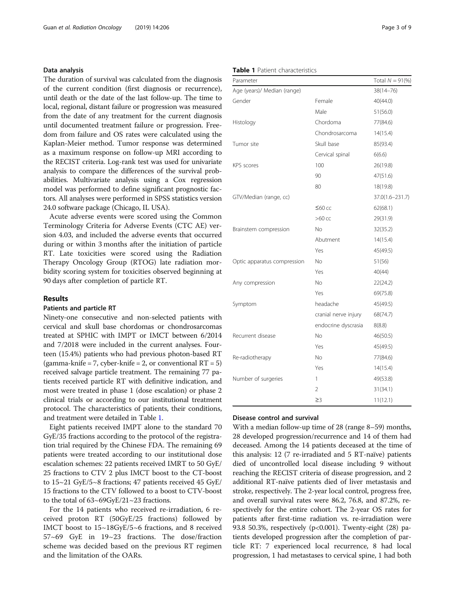#### Data analysis

The duration of survival was calculated from the diagnosis of the current condition (first diagnosis or recurrence), until death or the date of the last follow-up. The time to local, regional, distant failure or progression was measured from the date of any treatment for the current diagnosis until documented treatment failure or progression. Freedom from failure and OS rates were calculated using the Kaplan-Meier method. Tumor response was determined as a maximum response on follow-up MRI according to the RECIST criteria. Log-rank test was used for univariate analysis to compare the differences of the survival probabilities. Multivariate analysis using a Cox regression model was performed to define significant prognostic factors. All analyses were performed in SPSS statistics version 24.0 software package (Chicago, IL USA).

Acute adverse events were scored using the Common Terminology Criteria for Adverse Events (CTC AE) version 4.03, and included the adverse events that occurred during or within 3 months after the initiation of particle RT. Late toxicities were scored using the Radiation Therapy Oncology Group (RTOG) late radiation morbidity scoring system for toxicities observed beginning at 90 days after completion of particle RT.

#### Results

#### Patients and particle RT

Ninety-one consecutive and non-selected patients with cervical and skull base chordomas or chondrosarcomas treated at SPHIC with IMPT or IMCT between 6/2014 and 7/2018 were included in the current analyses. Fourteen (15.4%) patients who had previous photon-based RT (gamma-knife = 7, cyber-knife = 2, or conventional  $RT = 5$ ) received salvage particle treatment. The remaining 77 patients received particle RT with definitive indication, and most were treated in phase 1 (dose escalation) or phase 2 clinical trials or according to our institutional treatment protocol. The characteristics of patients, their conditions, and treatment were detailed in Table 1.

Eight patients received IMPT alone to the standard 70 GyE/35 fractions according to the protocol of the registration trial required by the Chinese FDA. The remaining 69 patients were treated according to our institutional dose escalation schemes: 22 patients received IMRT to 50 GyE/ 25 fractions to CTV 2 plus IMCT boost to the CT-boost to 15~21 GyE/5~8 fractions; 47 patients received 45 GyE/ 15 fractions to the CTV followed to a boost to CTV-boost to the total of 63~69GyE/21~23 fractions.

For the 14 patients who received re-irradiation, 6 received proton RT (50GyE/25 fractions) followed by IMCT boost to 15~18GyE/5~6 fractions, and 8 received 57~69 GyE in 19~23 fractions. The dose/fraction scheme was decided based on the previous RT regimen and the limitation of the OARs.

#### Table 1 Patient characteristics

| Parameter                   |                      | Total $N = 91\%$ |
|-----------------------------|----------------------|------------------|
| Age (years)/ Median (range) |                      | $38(14 - 76)$    |
| Gender                      | Female               | 40(44.0)         |
|                             | Male                 | 51(56.0)         |
| Histology                   | Chordoma             | 77(84.6)         |
|                             | Chondrosarcoma       | 14(15.4)         |
| Tumor site                  | Skull base           | 85(93.4)         |
|                             | Cervical spinal      | 6(6.6)           |
| <b>KPS</b> scores           | 100                  | 26(19.8)         |
|                             | 90                   | 47(51.6)         |
|                             | 80                   | 18(19.8)         |
| GTV/Median (range, cc)      |                      | 37.0(1.6-231.7)  |
|                             | $≤60$ cc             | 62(68.1)         |
|                             | $>60$ cc             | 29(31.9)         |
| Brainstem compression       | No                   | 32(35.2)         |
|                             | Abutment             | 14(15.4)         |
|                             | Yes                  | 45(49.5)         |
| Optic apparatus compression | No.                  | 51(56)           |
|                             | Yes                  | 40(44)           |
| Any compression             | No                   | 22(24.2)         |
|                             | Yes                  | 69(75.8)         |
| Symptom                     | headache             | 45(49.5)         |
|                             | cranial nerve injury | 68(74.7)         |
|                             | endocrine dyscrasia  | 8(8.8)           |
| Recurrent disease           | No                   | 46(50.5)         |
|                             | Yes                  | 45(49.5)         |
| Re-radiotherapy             | No                   | 77(84.6)         |
|                             | Yes                  | 14(15.4)         |
| Number of surgeries         | 1                    | 49(53.8)         |
|                             | $\overline{2}$       | 31(34.1)         |
|                             | $\geq$ 3             | 11(12.1)         |

#### Disease control and survival

With a median follow-up time of 28 (range 8–59) months, 28 developed progression/recurrence and 14 of them had deceased. Among the 14 patients deceased at the time of this analysis: 12 (7 re-irradiated and 5 RT-naïve) patients died of uncontrolled local disease including 9 without reaching the RECIST criteria of disease progression, and 2 additional RT-naïve patients died of liver metastasis and stroke, respectively. The 2-year local control, progress free, and overall survival rates were 86.2, 76.8, and 87.2%, respectively for the entire cohort. The 2-year OS rates for patients after first-time radiation vs. re-irradiation were 93.8 50.3%, respectively (p<0.001). Twenty-eight (28) patients developed progression after the completion of particle RT: 7 experienced local recurrence, 8 had local progression, 1 had metastases to cervical spine, 1 had both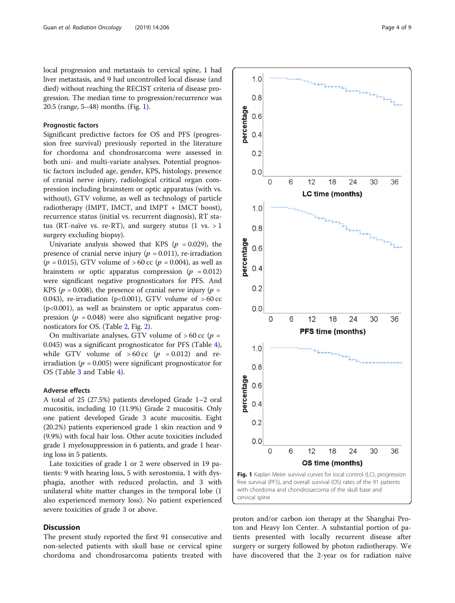local progression and metastasis to cervical spine, 1 had liver metastasis, and 9 had uncontrolled local disease (and died) without reaching the RECIST criteria of disease progression. The median time to progression/recurrence was 20.5 (range, 5–48) months. (Fig. 1).

#### Prognostic factors

Significant predictive factors for OS and PFS (progression free survival) previously reported in the literature for chordoma and chondrosarcoma were assessed in both uni- and multi-variate analyses. Potential prognostic factors included age, gender, KPS, histology, presence of cranial nerve injury, radiological critical organ compression including brainstem or optic apparatus (with vs. without), GTV volume, as well as technology of particle radiotherapy (IMPT, IMCT, and IMPT + IMCT boost), recurrence status (initial vs. recurrent diagnosis), RT status (RT-naïve vs. re-RT), and surgery stutus (1 vs.  $>1$ surgery excluding biopsy).

Univariate analysis showed that KPS ( $p = 0.029$ ), the presence of cranial nerve injury ( $p = 0.011$ ), re-irradiation  $(p = 0.015)$ , GTV volume of > 60 cc  $(p = 0.004)$ , as well as brainstem or optic apparatus compression ( $p = 0.012$ ) were significant negative prognosticators for PFS. And KPS ( $p = 0.008$ ), the presence of cranial nerve injury ( $p =$ 0.043), re-irradiation (p<0.001), GTV volume of  $>60$  cc (p<0.001), as well as brainstem or optic apparatus compression ( $p = 0.048$ ) were also significant negative prognosticators for OS. (Table [2](#page-4-0), Fig. [2\)](#page-5-0).

On multivariate analyses, GTV volume of  $>60$  cc (p = 0.045) was a significant prognosticator for PFS (Table [4](#page-6-0)), while GTV volume of  $>60 \text{ cc } (p = 0.012)$  and reirradiation ( $p = 0.005$ ) were significant prognosticator for OS (Table [3](#page-6-0) and Table [4](#page-6-0)).

#### Adverse effects

A total of 25 (27.5%) patients developed Grade 1–2 oral mucositis, including 10 (11.9%) Grade 2 mucositis. Only one patient developed Grade 3 acute mucositis. Eight (20.2%) patients experienced grade 1 skin reaction and 9 (9.9%) with focal hair loss. Other acute toxicities included grade 1 myelosuppression in 6 patients, and grade 1 hearing loss in 5 patients.

Late toxicities of grade 1 or 2 were observed in 19 patients: 9 with hearing loss, 5 with xerostomia, 1 with dysphagia, another with reduced prolactin, and 3 with unilateral white matter changes in the temporal lobe (1 also experienced memory loss). No patient experienced severe toxicities of grade 3 or above.

#### **Discussion**

The present study reported the first 91 consecutive and non-selected patients with skull base or cervical spine chordoma and chondrosarcoma patients treated with



proton and/or carbon ion therapy at the Shanghai Proton and Heavy Ion Center. A substantial portion of patients presented with locally recurrent disease after surgery or surgery followed by photon radiotherapy. We have discovered that the 2-year os for radiation naïve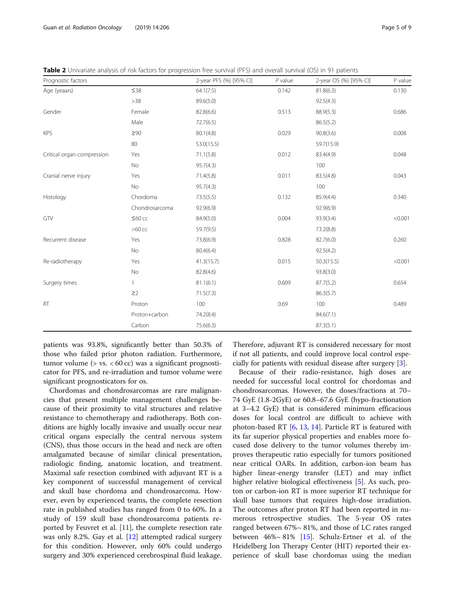<span id="page-4-0"></span>

|  |  | Table 2 Univariate analysis of risk factors for progression free survival (PFS) and overall survival (OS) in 91 patients |
|--|--|--------------------------------------------------------------------------------------------------------------------------|
|--|--|--------------------------------------------------------------------------------------------------------------------------|

| Prognostic factors         |                | 2-year PFS (%) [95% CI] | $P$ value | 2-year OS (%) [95% CI] | P value |
|----------------------------|----------------|-------------------------|-----------|------------------------|---------|
| Age (yeaars)               | $\leq 38$      | 64.1(7.5)               | 0.142     | 81.8(6.3)              | 0.130   |
|                            | $>38$          | 89.6(5.0)               |           | 92.5(4.3)              |         |
| Gender                     | Female         | 82.8(6.6)               | 0.513     | 88.9(5.3)              | 0.686   |
|                            | Male           | 72.7(6.5)               |           | 86.5(5.2)              |         |
| <b>KPS</b>                 | $\geq 90$      | 80.1(4.8)               | 0.029     | 90.8(3.6)              | 0.008   |
|                            | 80             | 53.0(15.5)              |           | 59.7(15.9)             |         |
| Critical organ compression | Yes            | 71.1(5.8)               | 0.012     | 83.4(4.9)              | 0.048   |
|                            | No             | 95.7(4.3)               |           | 100                    |         |
| Cranial nerve injury       | Yes            | 71.4(5.8)               | 0.011     | 83.5(4.8)              | 0.043   |
|                            | No             | 95.7(4.3)               |           | 100                    |         |
| Histology                  | Chordoma       | 73.5(5.5)               | 0.132     | 85.9(4.4)              | 0.340   |
|                            | Chondrosarcoma | 92.9(6.9)               |           | 92.9(6.9)              |         |
| GTV                        | $≤60$ cc       | 84.9(5.0)               | 0.004     | 93.9(3.4)              | < 0.001 |
|                            | $>60$ cc       | 59.7(9.5)               |           | 73.2(8.8)              |         |
| Recurrent disease          | Yes            | 73.8(6.9)               | 0.828     | 82.7(6.0)              | 0.260   |
|                            | No             | 80.4(6.4)               |           | 92.5(4.2)              |         |
| Re-radiotherapy            | Yes            | 41.3(15.7)              | 0.015     | 50.3(15.5)             | < 0.001 |
|                            | No             | 82.8(4.6)               |           | 93.8(3.0)              |         |
| Surgery times              | 1              | 81.1(6.1)               | 0.609     | 87.7(5.2)              | 0.654   |
|                            | $\geq$ 2       | 71.5(7.3)               |           | 86.3(5.7)              |         |
| <b>RT</b>                  | Proton         | 100                     | 0.69      | 100                    | 0.489   |
|                            | Proton+carbon  | 74.2(8.4)               |           | 84.6(7.1)              |         |
|                            | Carbon         | 75.6(6.3)               |           | 87.3(5.1)              |         |

patients was 93.8%, significantly better than 50.3% of those who failed prior photon radiation. Furthermore, tumor volume  $($  > vs.  $< 60 \text{ cc}$ ) was a significant prognosticator for PFS, and re-irradiation and tumor volume were significant prognosticators for os.

Chordomas and chondrosarcomas are rare malignancies that present multiple management challenges because of their proximity to vital structures and relative resistance to chemotherapy and radiotherapy. Both conditions are highly locally invasive and usually occur near critical organs especially the central nervous system (CNS), thus those occurs in the head and neck are often amalgamated because of similar clinical presentation, radiologic finding, anatomic location, and treatment. Maximal safe resection combined with adjuvant RT is a key component of successful management of cervical and skull base chordoma and chondrosarcoma. However, even by experienced teams, the complete resection rate in published studies has ranged from 0 to 60%. In a study of 159 skull base chondrosarcoma patients reported by Feuvret et al. [[11](#page-8-0)], the complete resection rate was only 8.2%. Gay et al. [\[12\]](#page-8-0) attempted radical surgery for this condition. However, only 60% could undergo surgery and 30% experienced cerebrospinal fluid leakage.

Therefore, adjuvant RT is considered necessary for most if not all patients, and could improve local control especially for patients with residual disease after surgery [[3\]](#page-8-0).

Because of their radio-resistance, high doses are needed for successful local control for chordomas and chondrosarcomas. However, the doses/fractions at 70– 74 GyE (1.8-2GyE) or 60.8–67.6 GyE (hypo-fractionation at 3–4.2 GyE) that is considered minimum efficacious doses for local control are difficult to achieve with photon-based RT  $[6, 13, 14]$  $[6, 13, 14]$  $[6, 13, 14]$  $[6, 13, 14]$  $[6, 13, 14]$  $[6, 13, 14]$ . Particle RT is featured with its far superior physical properties and enables more focused dose delivery to the tumor volumes thereby improves therapeutic ratio especially for tumors positioned near critical OARs. In addition, carbon-ion beam has higher linear-energy transfer (LET) and may inflict higher relative biological effectiveness [\[5](#page-8-0)]. As such, proton or carbon-ion RT is more superior RT technique for skull base tumors that requires high-dose irradiation. The outcomes after proton RT had been reported in numerous retrospective studies. The 5-year OS rates ranged between 67%~ 81%, and those of LC rates ranged between 46%~ 81% [\[15](#page-8-0)]. Schulz-Ertner et al. of the Heidelberg Ion Therapy Center (HIT) reported their experience of skull base chordomas using the median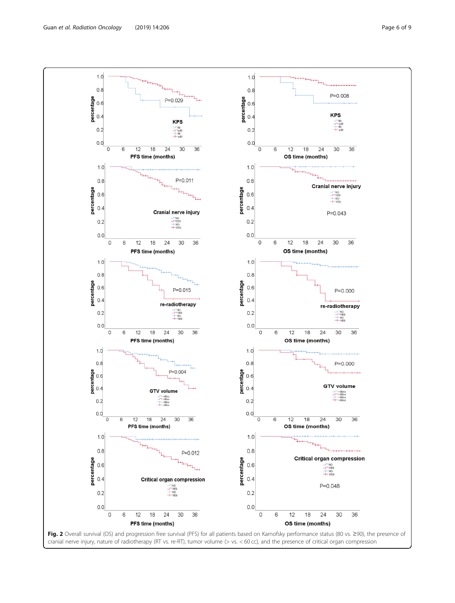<span id="page-5-0"></span>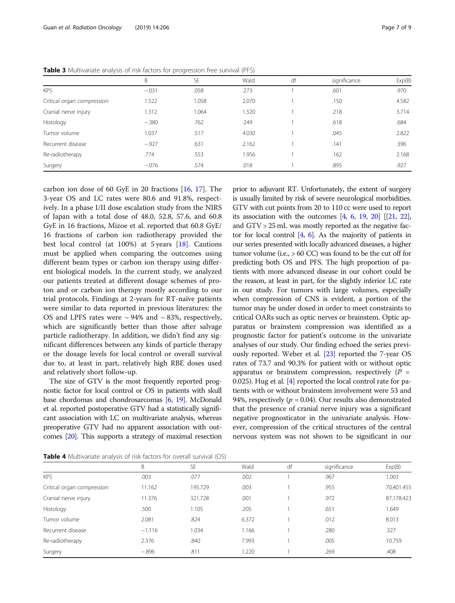|                            | B       | <b>SE</b> | Wald  | df | significance | Exp(B) |
|----------------------------|---------|-----------|-------|----|--------------|--------|
| <b>KPS</b>                 | $-.031$ | .058      | .273  |    | .601         | .970   |
| Critical organ compression | 1.522   | 1.058     | 2.070 |    | .150         | 4.582  |
| Cranial nerve injury       | 1.312   | 1.064     | 1.520 |    | .218         | 3.714  |
| Histology                  | $-.380$ | .762      | .249  |    | .618         | .684   |
| Tumor volume               | 1.037   | .517      | 4.030 |    | .045         | 2.822  |
| Recurrent disease          | $-.927$ | .631      | 2.162 |    | .141         | .396   |
| Re-radiotherapy            | .774    | .553      | 1.956 |    | .162         | 2.168  |
| Surgery                    | $-.076$ | .574      | .018  |    | .895         | .927   |

<span id="page-6-0"></span>Table 3 Multivariate analysis of risk factors for progression free survival (PFS)

carbon ion dose of 60 GyE in 20 fractions [\[16,](#page-8-0) [17](#page-8-0)]. The 3-year OS and LC rates were 80.6 and 91.8%, respectively. In a phase I/II dose escalation study from the NIRS of Japan with a total dose of 48.0, 52.8, 57.6, and 60.8 GyE in 16 fractions, Mizoe et al. reported that 60.8 GyE/ 16 fractions of carbon ion radiotherapy provided the best local control (at 100%) at 5 years [[18](#page-8-0)]. Cautions must be applied when comparing the outcomes using different beam types or carbon ion therapy using different biological models. In the current study, we analyzed our patients treated at different dosage schemes of proton and or carbon ion therapy mostly according to our trial protocols. Findings at 2-years for RT-naïve patients were similar to data reported in previous literatures: the OS and LPFS rates were  $\sim$  94% and  $\sim$  83%, respectively, which are significantly better than those after salvage particle radiotherapy. In addition, we didn't find any significant differences between any kinds of particle therapy or the dosage levels for local control or overall survival due to, at least in part, relatively high RBE doses used and relatively short follow-up.

The size of GTV is the most frequently reported prognostic factor for local control or OS in patients with skull base chordomas and chondrosarcomas [[6](#page-8-0), [19\]](#page-8-0). McDonald et al. reported postoperative GTV had a statistically significant association with LC on multivariate analysis, whereas preoperative GTV had no apparent association with outcomes [\[20\]](#page-8-0). This supports a strategy of maximal resection

prior to adjuvant RT. Unfortunately, the extent of surgery is usually limited by risk of severe neurological morbidities. GTV with cut points from 20 to 110 cc were used to report its association with the outcomes  $[4, 6, 19, 20]$  $[4, 6, 19, 20]$  $[4, 6, 19, 20]$  $[4, 6, 19, 20]$  $[4, 6, 19, 20]$  $[4, 6, 19, 20]$  $[4, 6, 19, 20]$  $[4, 6, 19, 20]$   $[21, 22]$  $[21, 22]$  $[21, 22]$  $[21, 22]$ , and GTV > 25 mL was mostly reported as the negative factor for local control [[4](#page-8-0), [6](#page-8-0)]. As the majority of patients in our series presented with locally advanced diseases, a higher tumor volume (i.e., > 60 CC) was found to be the cut off for predicting both OS and PFS. The high proportion of patients with more advanced disease in our cohort could be the reason, at least in part, for the slightly inferior LC rate in our study. For tumors with large volumes, especially when compression of CNS is evident, a portion of the tumor may be under dosed in order to meet constraints to critical OARs such as optic nerves or brainstem. Optic apparatus or brainstem compression was identified as a prognostic factor for patient's outcome in the univariate analyses of our study. Our finding echoed the series previously reported. Weber et al. [[23](#page-8-0)] reported the 7-year OS rates of 73.7 and 90.3% for patient with or without optic apparatus or brainstem compression, respectively  $(P =$ 0.025). Hug et al. [\[4](#page-8-0)] reported the local control rate for patients with or without brainstem involvement were 53 and 94%, respectively ( $p = 0.04$ ). Our results also demonstrated that the presence of cranial nerve injury was a significant negative prognosticator in the univariate analysis. However, compression of the critical structures of the central nervous system was not shown to be significant in our

**Table 4** Multivariate analysis of risk factors for overall survival (OS)

|                            | B        | <b>SE</b> | Wald  | df | significance | Exp(B)     |
|----------------------------|----------|-----------|-------|----|--------------|------------|
| <b>KPS</b>                 | .003     | .077      | .002  |    | .967         | 1.003      |
| Critical organ compression | 11.162   | 195.729   | .003  |    | .955         | 70,401.455 |
| Cranial nerve injury       | 11.376   | 321.728   | .001  |    | .972         | 87,178.423 |
| Histology                  | .500     | 1.105     | .205  |    | .651         | 1.649      |
| Tumor volume               | 2.081    | .824      | 6.372 |    | .012         | 8.013      |
| Recurrent disease          | $-1.116$ | 1.034     | 1.166 |    | .280         | .327       |
| Re-radiotherapy            | 2.376    | .840      | 7.993 |    | .005         | 10.759     |
| Surgery                    | $-.896$  | .811      | .220  |    | .269         | .408       |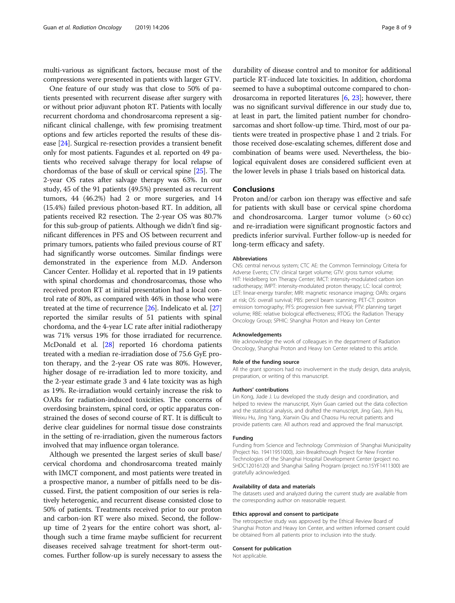multi-various as significant factors, because most of the compressions were presented in patients with larger GTV.

One feature of our study was that close to 50% of patients presented with recurrent disease after surgery with or without prior adjuvant photon RT. Patients with locally recurrent chordoma and chondrosarcoma represent a significant clinical challenge, with few promising treatment options and few articles reported the results of these disease [\[24\]](#page-8-0). Surgical re-resection provides a transient benefit only for most patients. Fagundes et al. reported on 49 patients who received salvage therapy for local relapse of chordomas of the base of skull or cervical spine [[25](#page-8-0)]. The 2-year OS rates after salvage therapy was 63%. In our study, 45 of the 91 patients (49.5%) presented as recurrent tumors, 44 (46.2%) had 2 or more surgeries, and 14 (15.4%) failed previous photon-based RT. In addition, all patients received R2 resection. The 2-year OS was 80.7% for this sub-group of patients. Although we didn't find significant differences in PFS and OS between recurrent and primary tumors, patients who failed previous course of RT had significantly worse outcomes. Similar findings were demonstrated in the experience from M.D. Anderson Cancer Center. Holliday et al. reported that in 19 patients with spinal chordomas and chondrosarcomas, those who received proton RT at initial presentation had a local control rate of 80%, as compared with 46% in those who were treated at the time of recurrence [[26\]](#page-8-0). Indelicato et al. [[27](#page-8-0)] reported the similar results of 51 patients with spinal chordoma, and the 4-year LC rate after initial radiotherapy was 71% versus 19% for those irradiated for recurrence. McDonald et al. [\[28\]](#page-8-0) reported 16 chordoma patients treated with a median re-irradiation dose of 75.6 GyE proton therapy, and the 2-year OS rate was 80%. However, higher dosage of re-irradiation led to more toxicity, and the 2-year estimate grade 3 and 4 late toxicity was as high as 19%. Re-irradiation would certainly increase the risk to OARs for radiation-induced toxicities. The concerns of overdosing brainstem, spinal cord, or optic apparatus constrained the doses of second course of RT. It is difficult to derive clear guidelines for normal tissue dose constraints in the setting of re-irradiation, given the numerous factors involved that may influence organ tolerance.

Although we presented the largest series of skull base/ cervical chordoma and chondrosarcoma treated mainly with IMCT component, and most patients were treated in a prospective manor, a number of pitfalls need to be discussed. First, the patient composition of our series is relatively heterogenic, and recurrent disease consisted close to 50% of patients. Treatments received prior to our proton and carbon-ion RT were also mixed. Second, the followup time of 2 years for the entire cohort was short, although such a time frame maybe sufficient for recurrent diseases received salvage treatment for short-term outcomes. Further follow-up is surely necessary to assess the

durability of disease control and to monitor for additional particle RT-induced late toxicities. In addition, chordoma seemed to have a suboptimal outcome compared to chondrosarcoma in reported literatures [\[6](#page-8-0), [23](#page-8-0)]; however, there was no significant survival difference in our study due to, at least in part, the limited patient number for chondrosarcomas and short follow-up time. Third, most of our patients were treated in prospective phase 1 and 2 trials. For those received dose-escalating schemes, different dose and combination of beams were used. Nevertheless, the biological equivalent doses are considered sufficient even at the lower levels in phase 1 trials based on historical data.

#### Conclusions

Proton and/or carbon ion therapy was effective and safe for patients with skull base or cervical spine chordoma and chondrosarcoma. Larger tumor volume (> 60 cc) and re-irradiation were significant prognostic factors and predicts inferior survival. Further follow-up is needed for long-term efficacy and safety.

#### Abbreviations

CNS: central nervous system; CTC AE: the Common Terminology Criteria for Adverse Events; CTV: clinical target volume; GTV: gross tumor volume; HIT: Heidelberg Ion Therapy Center; IMCT: intensity-modulated carbon ion radiotherapy; IMPT: intensity-modulated proton therapy; LC: local control; LET: linear-energy transfer; MRI: magnetic resonance imaging; OARs: organs at risk; OS: overall survival; PBS: pencil beam scanning; PET-CT: positron emission tomography; PFS: progression free survival; PTV: planning target volume; RBE: relative biological effectiveness; RTOG: the Radiation Therapy Oncology Group; SPHIC: Shanghai Proton and Heavy Ion Center

#### Acknowledgements

We acknowledge the work of colleagues in the department of Radiation Oncology, Shanghai Proton and Heavy Ion Center related to this article.

#### Role of the funding source

All the grant sponsors had no involvement in the study design, data analysis, preparation, or writing of this manuscript.

#### Authors' contributions

Lin Kong, Jiade J. Lu developed the study design and coordination, and helped to review the manuscript, Xiyin Guan carried out the data collection and the statistical analysis, and drafted the manuscript, Jing Gao, Jiyin Hu, Weixu Hu, Jing Yang, Xianxin Qiu and Chaosu Hu recruit patients and provide patients care. All authors read and approved the final manuscript.

#### Funding

Funding from Science and Technology Commission of Shanghai Municipality (Project No. 19411951000), Join Breakthrough Project for New Frontier Technologies of the Shanghai Hospital Development Center (project no. SHDC12016120) and Shanghai Sailing Program (project no.15YF1411300) are gratefully acknowledged.

#### Availability of data and materials

The datasets used and analyzed during the current study are available from the corresponding author on reasonable request.

#### Ethics approval and consent to participate

The retrospective study was approved by the Ethical Review Board of Shanghai Proton and Heavy Ion Center, and written informed consent could be obtained from all patients prior to inclusion into the study.

#### Consent for publication

Not applicable.